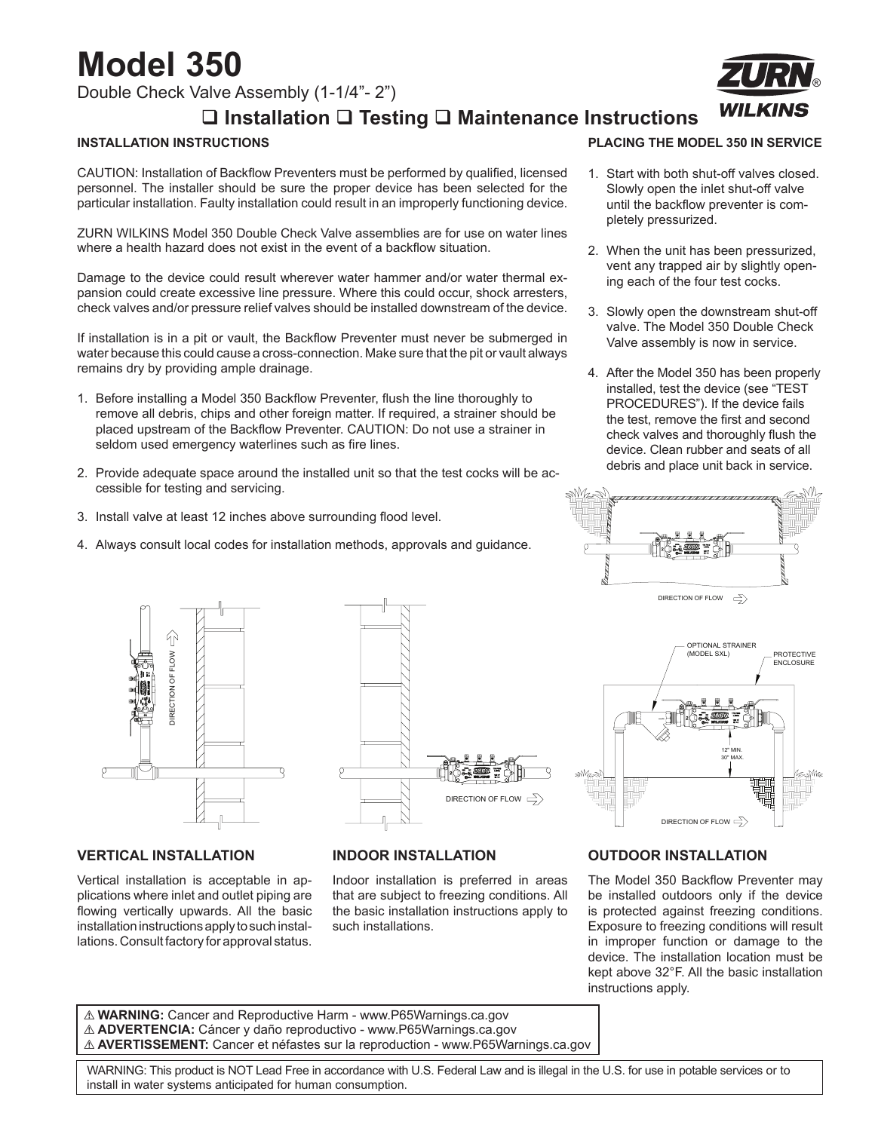# **Model 350**

Double Check Valve Assembly (1-1/4"- 2")

### **Installation Testing Maintenance Instructions**

#### **INSTALLATION INSTRUCTIONS**

CAUTION: Installation of Backflow Preventers must be performed by qualified, licensed personnel. The installer should be sure the proper device has been selected for the particular installation. Faulty installation could result in an improperly functioning device.

ZURN WILKINS Model 350 Double Check Valve assemblies are for use on water lines where a health hazard does not exist in the event of a backflow situation.

Damage to the device could result wherever water hammer and/or water thermal expansion could create excessive line pressure. Where this could occur, shock arresters, check valves and/or pressure relief valves should be installed downstream of the device.

If installation is in a pit or vault, the Backflow Preventer must never be submerged in water because this could cause a cross-connection. Make sure that the pit or vault always remains dry by providing ample drainage.

- 1. Before installing a Model 350 Backflow Preventer, flush the line thoroughly to remove all debris, chips and other foreign matter. If required, a strainer should be placed upstream of the Backflow Preventer. CAUTION: Do not use a strainer in seldom used emergency waterlines such as fire lines.
- 2. Provide adequate space around the installed unit so that the test cocks will be accessible for testing and servicing.
- 3. Install valve at least 12 inches above surrounding flood level.
- 4. Always consult local codes for installation methods, approvals and guidance.



- 1. Start with both shut-off valves closed. Slowly open the inlet shut-off valve until the backflow preventer is completely pressurized.
- 2. When the unit has been pressurized, vent any trapped air by slightly opening each of the four test cocks.
- 3. Slowly open the downstream shut-off valve. The Model 350 Double Check Valve assembly is now in service.
- 4. After the Model 350 has been properly installed, test the device (see "TEST PROCEDURES"). If the device fails the test, remove the first and second check valves and thoroughly flush the device. Clean rubber and seats of all debris and place unit back in service.

DIRECTION OF FLOW  $\Rightarrow$ 



#### **OUTDOOR INSTALLATION**

The Model 350 Backflow Preventer may be installed outdoors only if the device is protected against freezing conditions. Exposure to freezing conditions will result in improper function or damage to the device. The installation location must be kept above 32°F. All the basic installation instructions apply.

! **WARNING:** Cancer and Reproductive Harm - www.P65Warnings.ca.gov ! **ADVERTENCIA:** Cáncer y daño reproductivo - www.P65Warnings.ca.gov ! **AVERTISSEMENT:** Cancer et néfastes sur la reproduction - www.P65Warnings.ca.gov

 WARNING: This product is NOT Lead Free in accordance with U.S. Federal Law and is illegal in the U.S. for use in potable services or to install in water systems anticipated for human consumption.

### **VERTICAL INSTALLATION**

DIRECTION OF FLOW

**JIRECTION OF FLOW** 

⇧

Vertical installation is acceptable in applications where inlet and outlet piping are flowing vertically upwards. All the basic installation instructions apply to such installations. Consult factory for approval status.



Indoor installation is preferred in areas that are subject to freezing conditions. All the basic installation instructions apply to

**INDOOR INSTALLATION**

such installations.

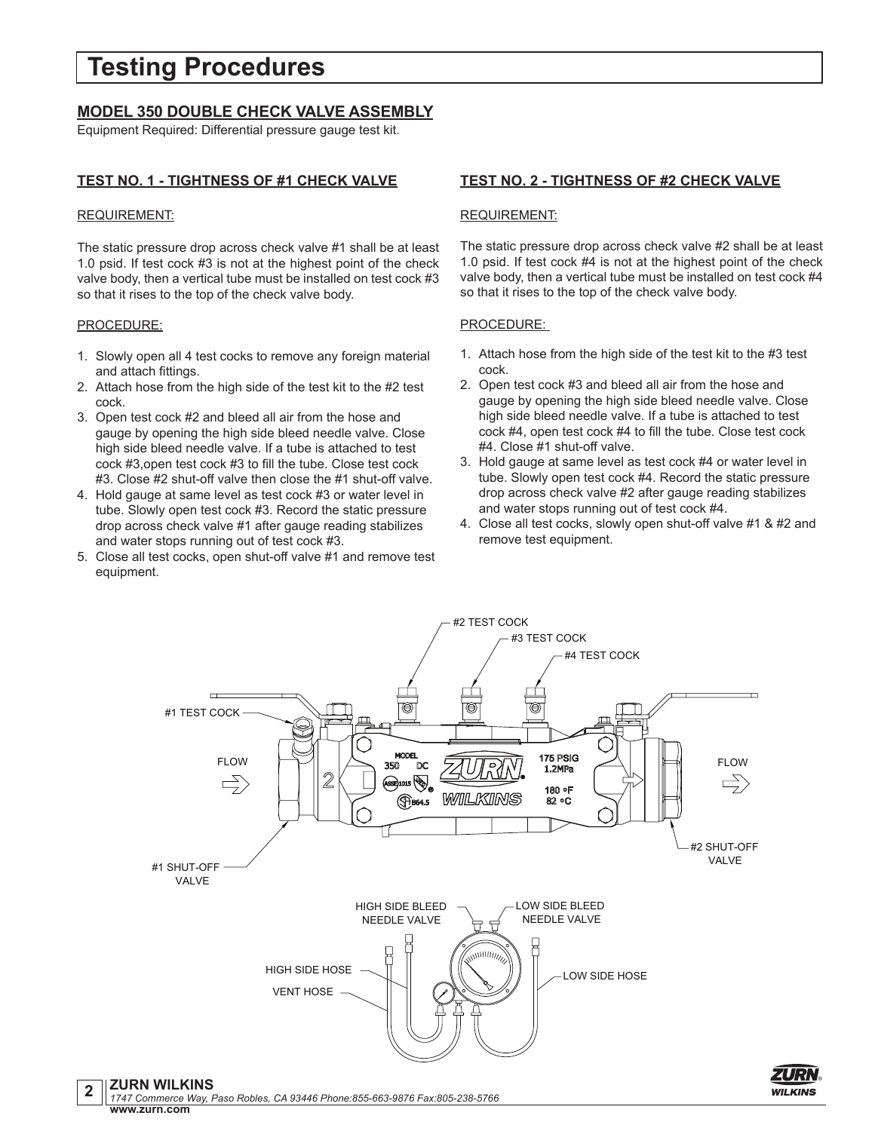## **Testing Procedures**

#### **MODEL 350 DOUBLE CHECK VALVE ASSEMBLY**

Equipment Required: Differential pressure gauge test kit.

#### **TEST NO. 1 - TIGHTNESS OF #1 CHECK VALVE**

#### REQUIREMENT:

The static pressure drop across check valve #1 shall be at least 1.0 psid. If test cock #3 is not at the highest point of the check valve body, then a vertical tube must be installed on test cock #3 so that it rises to the top of the check valve body.

#### PROCEDURE:

- 1. Slowly open all 4 test cocks to remove any foreign material and attach fittings.
- 2. Attach hose from the high side of the test kit to the #2 test cock.
- 3. Open test cock #2 and bleed all air from the hose and gauge by opening the high side bleed needle valve. Close high side bleed needle valve. If a tube is attached to test cock #3,open test cock #3 to fill the tube. Close test cock #3. Close #2 shut-off valve then close the #1 shut-off valve.
- 4. Hold gauge at same level as test cock #3 or water level in tube. Slowly open test cock #3. Record the static pressure drop across check valve #1 after gauge reading stabilizes and water stops running out of test cock #3.
- 5. Close all test cocks, open shut-off valve #1 and remove test equipment.

#### **TEST NO. 2 - TIGHTNESS OF #2 CHECK VALVE**

#### REQUIREMENT:

The static pressure drop across check valve #2 shall be at least 1.0 psid. If test cock #4 is not at the highest point of the check valve body, then a vertical tube must be installed on test cock #4 so that it rises to the top of the check valve body.

#### PROCEDURE:

- 1. Attach hose from the high side of the test kit to the #3 test cock.
- 2. Open test cock #3 and bleed all air from the hose and gauge by opening the high side bleed needle valve. Close high side bleed needle valve. If a tube is attached to test cock #4, open test cock #4 to fill the tube. Close test cock #4. Close #1 shut-off valve.
- 3. Hold gauge at same level as test cock #4 or water level in tube. Slowly open test cock #4. Record the static pressure drop across check valve #2 after gauge reading stabilizes and water stops running out of test cock #4.
- 4. Close all test cocks, slowly open shut-off valve #1 & #2 and remove test equipment.



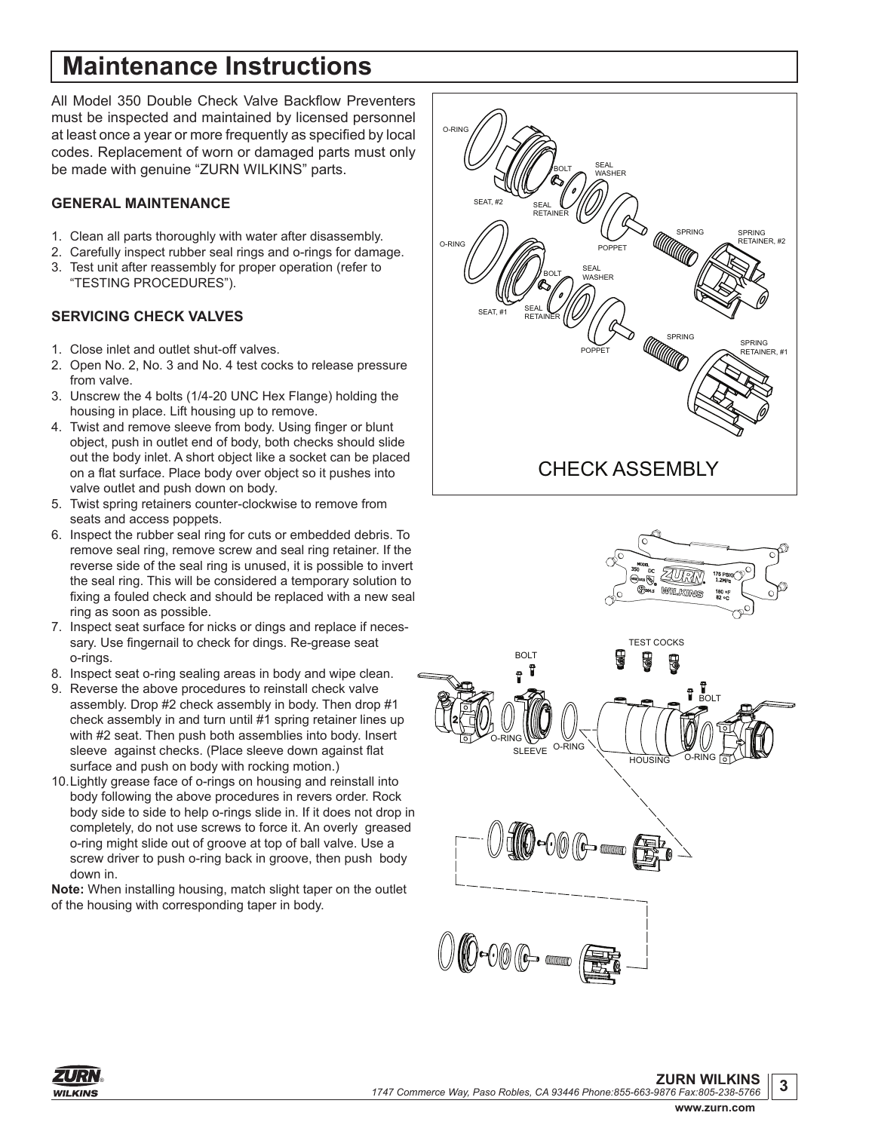# **Maintenance Instructions**

All Model 350 Double Check Valve Backflow Preventers must be inspected and maintained by licensed personnel at least once a year or more frequently as specified by local codes. Replacement of worn or damaged parts must only be made with genuine "ZURN WILKINS" parts.

#### **GENERAL MAINTENANCE**

- 1. Clean all parts thoroughly with water after disassembly.
- 2. Carefully inspect rubber seal rings and o-rings for damage. 3. Test unit after reassembly for proper operation (refer to "TESTING PROCEDURES").

#### **SERVICING CHECK VALVES**

- 1. Close inlet and outlet shut-off valves.
- 2. Open No. 2, No. 3 and No. 4 test cocks to release pressure from valve.
- 3. Unscrew the 4 bolts (1/4-20 UNC Hex Flange) holding the housing in place. Lift housing up to remove.
- 4. Twist and remove sleeve from body. Using finger or blunt object, push in outlet end of body, both checks should slide out the body inlet. A short object like a socket can be placed on a flat surface. Place body over object so it pushes into valve outlet and push down on body.
- 5. Twist spring retainers counter-clockwise to remove from seats and access poppets.
- 6. Inspect the rubber seal ring for cuts or embedded debris. To remove seal ring, remove screw and seal ring retainer. If the reverse side of the seal ring is unused, it is possible to invert the seal ring. This will be considered a temporary solution to fixing a fouled check and should be replaced with a new seal ring as soon as possible.
- 7. Inspect seat surface for nicks or dings and replace if necessary. Use fingernail to check for dings. Re-grease seat o-rings.
- 8. Inspect seat o-ring sealing areas in body and wipe clean.
- 9. Reverse the above procedures to reinstall check valve assembly. Drop #2 check assembly in body. Then drop #1 check assembly in and turn until #1 spring retainer lines up with #2 seat. Then push both assemblies into body. Insert sleeve against checks. (Place sleeve down against flat surface and push on body with rocking motion.)
- 10.Lightly grease face of o-rings on housing and reinstall into body following the above procedures in revers order. Rock body side to side to help o-rings slide in. If it does not drop in completely, do not use screws to force it. An overly greased o-ring might slide out of groove at top of ball valve. Use a screw driver to push o-ring back in groove, then push body down in.

**Note:** When installing housing, match slight taper on the outlet of the housing with corresponding taper in body.